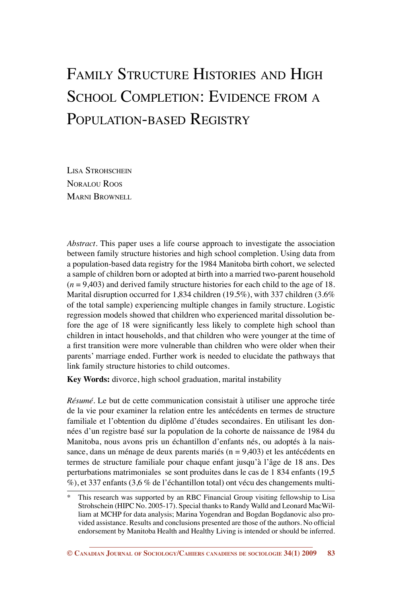# Family Structure Histories and High SCHOOL COMPLETION: EVIDENCE FROM A POPULATION-BASED REGISTRY

LISA STROHSCHEIN NORALOU ROOS Marni Brownell

*Abstract*. This paper uses a life course approach to investigate the association between family structure histories and high school completion. Using data from a population-based data registry for the 1984 Manitoba birth cohort, we selected a sample of children born or adopted at birth into a married two-parent household  $(n = 9,403)$  and derived family structure histories for each child to the age of 18. Marital disruption occurred for 1,834 children (19.5%), with 337 children (3.6% of the total sample) experiencing multiple changes in family structure. Logistic regression models showed that children who experienced marital dissolution before the age of 18 were significantly less likely to complete high school than children in intact households, and that children who were younger at the time of a first transition were more vulnerable than children who were older when their parents' marriage ended. Further work is needed to elucidate the pathways that link family structure histories to child outcomes.

**Key Words:** divorce, high school graduation, marital instability

*Résumé.* Le but de cette communication consistait à utiliser une approche tirée de la vie pour examiner la relation entre les antécédents en termes de structure familiale et l'obtention du diplôme d'études secondaires. En utilisant les données d'un registre basé sur la population de la cohorte de naissance de 1984 du Manitoba, nous avons pris un échantillon d'enfants nés, ou adoptés à la naissance, dans un ménage de deux parents mariés ( $n = 9,403$ ) et les antécédents en termes de structure familiale pour chaque enfant jusqu'à l'âge de 18 ans. Des perturbations matrimoniales se sont produites dans le cas de 1 834 enfants (19,5 %), et 337 enfants (3,6 % de l'échantillon total) ont vécu des changements multi-

This research was supported by an RBC Financial Group visiting fellowship to Lisa Strohschein (HIPC No. 2005-17). Special thanks to Randy Walld and Leonard MacWilliam at MCHP for data analysis; Marina Yogendran and Bogdan Bogdanovic also provided assistance. Results and conclusions presented are those of the authors. No official endorsement by Manitoba Health and Healthy Living is intended or should be inferred.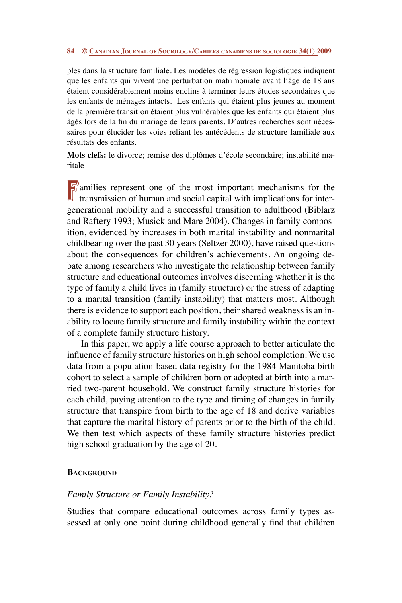ples dans la structure familiale. Les modèles de régression logistiques indiquent que les enfants qui vivent une perturbation matrimoniale avant l'âge de 18 ans étaient considérablement moins enclins à terminer leurs études secondaires que les enfants de ménages intacts. Les enfants qui étaient plus jeunes au moment de la première transition étaient plus vulnérables que les enfants qui étaient plus âgés lors de la fin du mariage de leurs parents. D'autres recherches sont nécessaires pour élucider les voies reliant les antécédents de structure familiale aux résultats des enfants.

**Mots clefs:** le divorce; remise des diplômes d'école secondaire; instabilité maritale

**F**amilies represent one of the most important mechanisms for the transmission of human and social capital with implications for intergenerational mobility and a successful transition to adulthood (Biblarz and Raftery 1993; Musick and Mare 2004). Changes in family composition, evidenced by increases in both marital instability and nonmarital childbearing over the past 30 years (Seltzer 2000), have raised questions about the consequences for children's achievements. An ongoing debate among researchers who investigate the relationship between family structure and educational outcomes involves discerning whether it is the type of family a child lives in (family structure) or the stress of adapting to a marital transition (family instability) that matters most. Although there is evidence to support each position, their shared weakness is an inability to locate family structure and family instability within the context of a complete family structure history.

In this paper, we apply a life course approach to better articulate the influence of family structure histories on high school completion. We use data from a population-based data registry for the 1984 Manitoba birth cohort to select a sample of children born or adopted at birth into a married two-parent household. We construct family structure histories for each child, paying attention to the type and timing of changes in family structure that transpire from birth to the age of 18 and derive variables that capture the marital history of parents prior to the birth of the child. We then test which aspects of these family structure histories predict high school graduation by the age of 20.

# **BACKGROUND**

## *Family Structure or Family Instability?*

Studies that compare educational outcomes across family types assessed at only one point during childhood generally find that children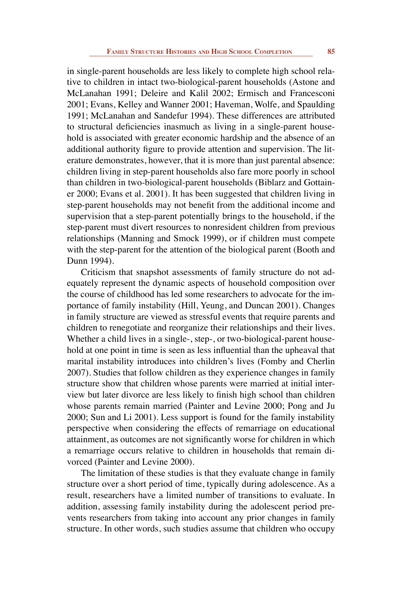in single-parent households are less likely to complete high school relative to children in intact two-biological-parent households (Astone and McLanahan 1991; Deleire and Kalil 2002; Ermisch and Francesconi 2001; Evans, Kelley and Wanner 2001; Haveman, Wolfe, and Spaulding 1991; McLanahan and Sandefur 1994). These differences are attributed to structural deficiencies inasmuch as living in a single-parent household is associated with greater economic hardship and the absence of an additional authority figure to provide attention and supervision. The literature demonstrates, however, that it is more than just parental absence: children living in step-parent households also fare more poorly in school than children in two-biological-parent households (Biblarz and Gottainer 2000; Evans et al. 2001). It has been suggested that children living in step-parent households may not benefit from the additional income and supervision that a step-parent potentially brings to the household, if the step-parent must divert resources to nonresident children from previous relationships (Manning and Smock 1999), or if children must compete with the step-parent for the attention of the biological parent (Booth and Dunn 1994).

Criticism that snapshot assessments of family structure do not adequately represent the dynamic aspects of household composition over the course of childhood has led some researchers to advocate for the importance of family instability (Hill, Yeung, and Duncan 2001). Changes in family structure are viewed as stressful events that require parents and children to renegotiate and reorganize their relationships and their lives. Whether a child lives in a single-, step-, or two-biological-parent household at one point in time is seen as less influential than the upheaval that marital instability introduces into children's lives (Fomby and Cherlin 2007). Studies that follow children as they experience changes in family structure show that children whose parents were married at initial interview but later divorce are less likely to finish high school than children whose parents remain married (Painter and Levine 2000; Pong and Ju 2000; Sun and Li 2001). Less support is found for the family instability perspective when considering the effects of remarriage on educational attainment, as outcomes are not significantly worse for children in which a remarriage occurs relative to children in households that remain divorced (Painter and Levine 2000).

The limitation of these studies is that they evaluate change in family structure over a short period of time, typically during adolescence. As a result, researchers have a limited number of transitions to evaluate. In addition, assessing family instability during the adolescent period prevents researchers from taking into account any prior changes in family structure. In other words, such studies assume that children who occupy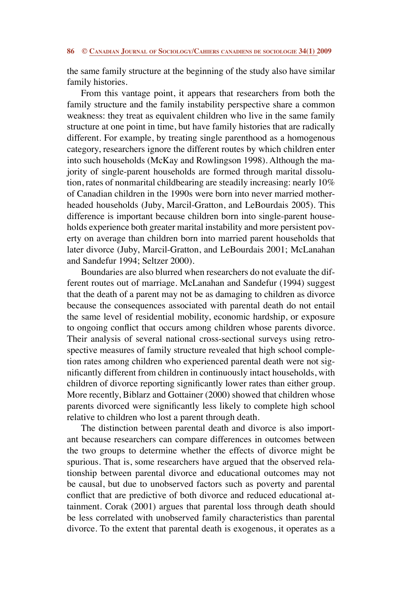the same family structure at the beginning of the study also have similar family histories.

From this vantage point, it appears that researchers from both the family structure and the family instability perspective share a common weakness: they treat as equivalent children who live in the same family structure at one point in time, but have family histories that are radically different. For example, by treating single parenthood as a homogenous category, researchers ignore the different routes by which children enter into such households (McKay and Rowlingson 1998). Although the majority of single-parent households are formed through marital dissolution, rates of nonmarital childbearing are steadily increasing: nearly 10% of Canadian children in the 1990s were born into never married motherheaded households (Juby, Marcil-Gratton, and LeBourdais 2005). This difference is important because children born into single-parent households experience both greater marital instability and more persistent poverty on average than children born into married parent households that later divorce (Juby, Marcil-Gratton, and LeBourdais 2001; McLanahan and Sandefur 1994; Seltzer 2000).

Boundaries are also blurred when researchers do not evaluate the different routes out of marriage. McLanahan and Sandefur (1994) suggest that the death of a parent may not be as damaging to children as divorce because the consequences associated with parental death do not entail the same level of residential mobility, economic hardship, or exposure to ongoing conflict that occurs among children whose parents divorce. Their analysis of several national cross-sectional surveys using retrospective measures of family structure revealed that high school completion rates among children who experienced parental death were not significantly different from children in continuously intact households, with children of divorce reporting significantly lower rates than either group. More recently, Biblarz and Gottainer (2000) showed that children whose parents divorced were significantly less likely to complete high school relative to children who lost a parent through death.

The distinction between parental death and divorce is also important because researchers can compare differences in outcomes between the two groups to determine whether the effects of divorce might be spurious. That is, some researchers have argued that the observed relationship between parental divorce and educational outcomes may not be causal, but due to unobserved factors such as poverty and parental conflict that are predictive of both divorce and reduced educational attainment. Corak (2001) argues that parental loss through death should be less correlated with unobserved family characteristics than parental divorce. To the extent that parental death is exogenous, it operates as a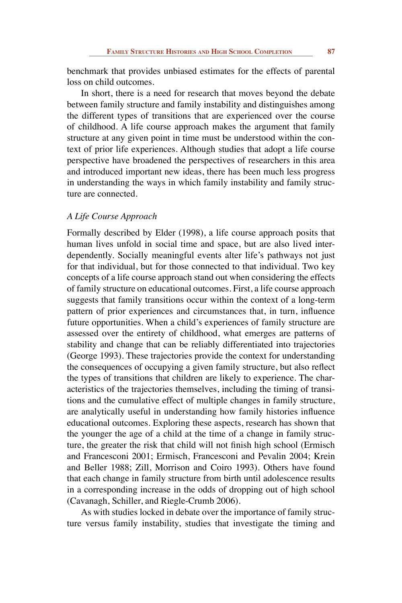benchmark that provides unbiased estimates for the effects of parental loss on child outcomes.

In short, there is a need for research that moves beyond the debate between family structure and family instability and distinguishes among the different types of transitions that are experienced over the course of childhood. A life course approach makes the argument that family structure at any given point in time must be understood within the context of prior life experiences. Although studies that adopt a life course perspective have broadened the perspectives of researchers in this area and introduced important new ideas, there has been much less progress in understanding the ways in which family instability and family structure are connected.

# *A Life Course Approach*

Formally described by Elder (1998), a life course approach posits that human lives unfold in social time and space, but are also lived interdependently. Socially meaningful events alter life's pathways not just for that individual, but for those connected to that individual. Two key concepts of a life course approach stand out when considering the effects of family structure on educational outcomes. First, a life course approach suggests that family transitions occur within the context of a long-term pattern of prior experiences and circumstances that, in turn, influence future opportunities. When a child's experiences of family structure are assessed over the entirety of childhood, what emerges are patterns of stability and change that can be reliably differentiated into trajectories (George 1993). These trajectories provide the context for understanding the consequences of occupying a given family structure, but also reflect the types of transitions that children are likely to experience. The characteristics of the trajectories themselves, including the timing of transitions and the cumulative effect of multiple changes in family structure, are analytically useful in understanding how family histories influence educational outcomes. Exploring these aspects, research has shown that the younger the age of a child at the time of a change in family structure, the greater the risk that child will not finish high school (Ermisch and Francesconi 2001; Ermisch, Francesconi and Pevalin 2004; Krein and Beller 1988; Zill, Morrison and Coiro 1993). Others have found that each change in family structure from birth until adolescence results in a corresponding increase in the odds of dropping out of high school (Cavanagh, Schiller, and Riegle-Crumb 2006).

As with studies locked in debate over the importance of family structure versus family instability, studies that investigate the timing and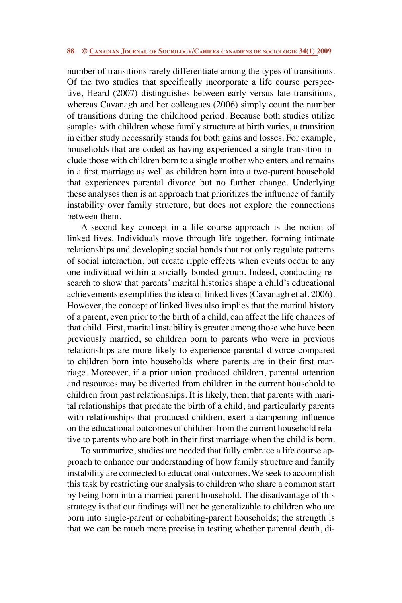number of transitions rarely differentiate among the types of transitions. Of the two studies that specifically incorporate a life course perspective, Heard (2007) distinguishes between early versus late transitions, whereas Cavanagh and her colleagues (2006) simply count the number of transitions during the childhood period. Because both studies utilize samples with children whose family structure at birth varies, a transition in either study necessarily stands for both gains and losses. For example, households that are coded as having experienced a single transition include those with children born to a single mother who enters and remains in a first marriage as well as children born into a two-parent household that experiences parental divorce but no further change. Underlying these analyses then is an approach that prioritizes the influence of family instability over family structure, but does not explore the connections between them.

A second key concept in a life course approach is the notion of linked lives. Individuals move through life together, forming intimate relationships and developing social bonds that not only regulate patterns of social interaction, but create ripple effects when events occur to any one individual within a socially bonded group. Indeed, conducting research to show that parents' marital histories shape a child's educational achievements exemplifies the idea of linked lives (Cavanagh et al. 2006). However, the concept of linked lives also implies that the marital history of a parent, even prior to the birth of a child, can affect the life chances of that child. First, marital instability is greater among those who have been previously married, so children born to parents who were in previous relationships are more likely to experience parental divorce compared to children born into households where parents are in their first marriage. Moreover, if a prior union produced children, parental attention and resources may be diverted from children in the current household to children from past relationships. It is likely, then, that parents with marital relationships that predate the birth of a child, and particularly parents with relationships that produced children, exert a dampening influence on the educational outcomes of children from the current household relative to parents who are both in their first marriage when the child is born.

To summarize, studies are needed that fully embrace a life course approach to enhance our understanding of how family structure and family instability are connected to educational outcomes. We seek to accomplish this task by restricting our analysis to children who share a common start by being born into a married parent household. The disadvantage of this strategy is that our findings will not be generalizable to children who are born into single-parent or cohabiting-parent households; the strength is that we can be much more precise in testing whether parental death, di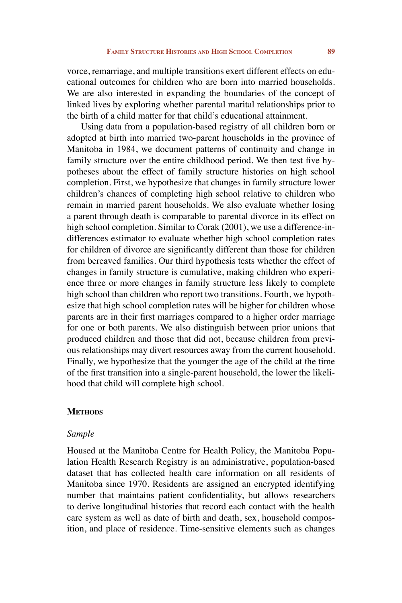vorce, remarriage, and multiple transitions exert different effects on educational outcomes for children who are born into married households. We are also interested in expanding the boundaries of the concept of linked lives by exploring whether parental marital relationships prior to the birth of a child matter for that child's educational attainment.

Using data from a population-based registry of all children born or adopted at birth into married two-parent households in the province of Manitoba in 1984, we document patterns of continuity and change in family structure over the entire childhood period. We then test five hypotheses about the effect of family structure histories on high school completion. First, we hypothesize that changes in family structure lower children's chances of completing high school relative to children who remain in married parent households. We also evaluate whether losing a parent through death is comparable to parental divorce in its effect on high school completion. Similar to Corak (2001), we use a difference-indifferences estimator to evaluate whether high school completion rates for children of divorce are significantly different than those for children from bereaved families. Our third hypothesis tests whether the effect of changes in family structure is cumulative, making children who experience three or more changes in family structure less likely to complete high school than children who report two transitions. Fourth, we hypothesize that high school completion rates will be higher for children whose parents are in their first marriages compared to a higher order marriage for one or both parents. We also distinguish between prior unions that produced children and those that did not, because children from previous relationships may divert resources away from the current household. Finally, we hypothesize that the younger the age of the child at the time of the first transition into a single-parent household, the lower the likelihood that child will complete high school.

### **Methods**

#### *Sample*

Housed at the Manitoba Centre for Health Policy, the Manitoba Population Health Research Registry is an administrative, population-based dataset that has collected health care information on all residents of Manitoba since 1970. Residents are assigned an encrypted identifying number that maintains patient confidentiality, but allows researchers to derive longitudinal histories that record each contact with the health care system as well as date of birth and death, sex, household composition, and place of residence. Time-sensitive elements such as changes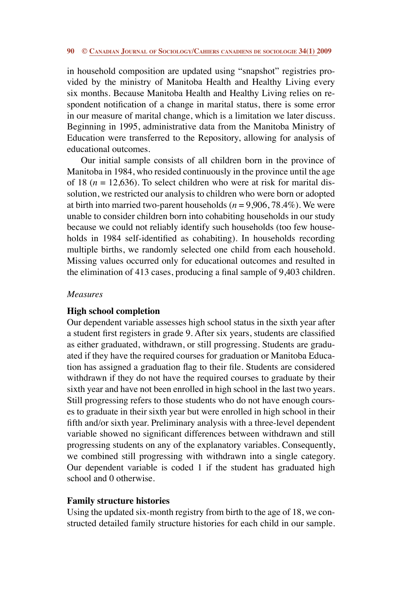in household composition are updated using "snapshot" registries provided by the ministry of Manitoba Health and Healthy Living every six months. Because Manitoba Health and Healthy Living relies on respondent notification of a change in marital status, there is some error in our measure of marital change, which is a limitation we later discuss. Beginning in 1995, administrative data from the Manitoba Ministry of Education were transferred to the Repository, allowing for analysis of educational outcomes.

Our initial sample consists of all children born in the province of Manitoba in 1984, who resided continuously in the province until the age of 18 (*n* = 12,636). To select children who were at risk for marital dissolution, we restricted our analysis to children who were born or adopted at birth into married two-parent households  $(n = 9,906, 78.4\%)$ . We were unable to consider children born into cohabiting households in our study because we could not reliably identify such households (too few households in 1984 self-identified as cohabiting). In households recording multiple births, we randomly selected one child from each household. Missing values occurred only for educational outcomes and resulted in the elimination of 413 cases, producing a final sample of 9,403 children.

# *Measures*

## **High school completion**

Our dependent variable assesses high school status in the sixth year after a student first registers in grade 9. After six years, students are classified as either graduated, withdrawn, or still progressing. Students are graduated if they have the required courses for graduation or Manitoba Education has assigned a graduation flag to their file. Students are considered withdrawn if they do not have the required courses to graduate by their sixth year and have not been enrolled in high school in the last two years. Still progressing refers to those students who do not have enough courses to graduate in their sixth year but were enrolled in high school in their fifth and/or sixth year. Preliminary analysis with a three-level dependent variable showed no significant differences between withdrawn and still progressing students on any of the explanatory variables. Consequently, we combined still progressing with withdrawn into a single category. Our dependent variable is coded 1 if the student has graduated high school and 0 otherwise.

# **Family structure histories**

Using the updated six-month registry from birth to the age of 18, we constructed detailed family structure histories for each child in our sample.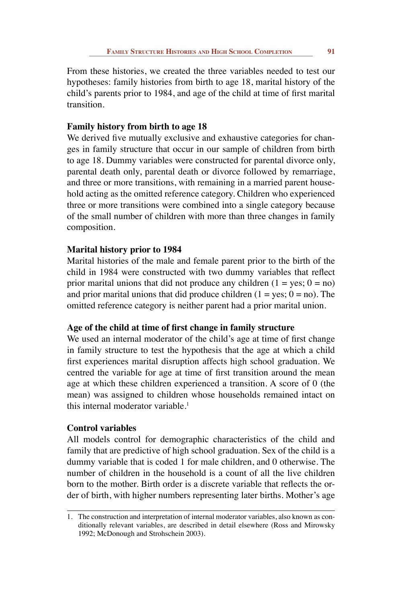From these histories, we created the three variables needed to test our hypotheses: family histories from birth to age 18, marital history of the child's parents prior to 1984, and age of the child at time of first marital transition.

# **Family history from birth to age 18**

We derived five mutually exclusive and exhaustive categories for changes in family structure that occur in our sample of children from birth to age 18. Dummy variables were constructed for parental divorce only, parental death only, parental death or divorce followed by remarriage, and three or more transitions, with remaining in a married parent household acting as the omitted reference category. Children who experienced three or more transitions were combined into a single category because of the small number of children with more than three changes in family composition.

# **Marital history prior to 1984**

Marital histories of the male and female parent prior to the birth of the child in 1984 were constructed with two dummy variables that reflect prior marital unions that did not produce any children  $(1 = yes; 0 = no)$ and prior marital unions that did produce children  $(1 = yes; 0 = no)$ . The omitted reference category is neither parent had a prior marital union.

## **Age of the child at time of first change in family structure**

We used an internal moderator of the child's age at time of first change in family structure to test the hypothesis that the age at which a child first experiences marital disruption affects high school graduation. We centred the variable for age at time of first transition around the mean age at which these children experienced a transition. A score of 0 (the mean) was assigned to children whose households remained intact on this internal moderator variable.<sup>1</sup>

## **Control variables**

All models control for demographic characteristics of the child and family that are predictive of high school graduation. Sex of the child is a dummy variable that is coded 1 for male children, and 0 otherwise. The number of children in the household is a count of all the live children born to the mother. Birth order is a discrete variable that reflects the order of birth, with higher numbers representing later births. Mother's age

<sup>1.</sup> The construction and interpretation of internal moderator variables, also known as conditionally relevant variables, are described in detail elsewhere (Ross and Mirowsky 1992; McDonough and Strohschein 2003).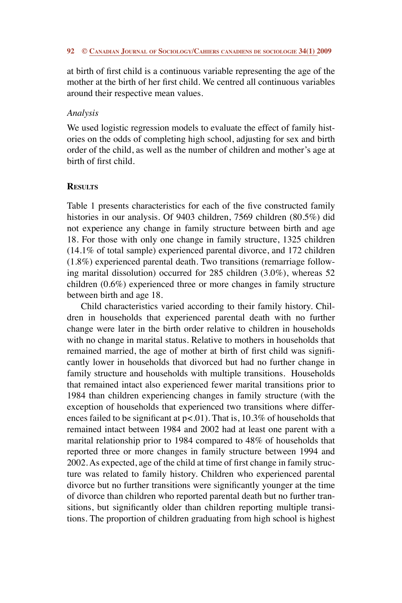at birth of first child is a continuous variable representing the age of the mother at the birth of her first child. We centred all continuous variables around their respective mean values.

## *Analysis*

We used logistic regression models to evaluate the effect of family histories on the odds of completing high school, adjusting for sex and birth order of the child, as well as the number of children and mother's age at birth of first child.

# **Results**

Table 1 presents characteristics for each of the five constructed family histories in our analysis. Of 9403 children, 7569 children (80.5%) did not experience any change in family structure between birth and age 18. For those with only one change in family structure, 1325 children (14.1% of total sample) experienced parental divorce, and 172 children (1.8%) experienced parental death. Two transitions (remarriage following marital dissolution) occurred for 285 children (3.0%), whereas 52 children (0.6%) experienced three or more changes in family structure between birth and age 18.

Child characteristics varied according to their family history. Children in households that experienced parental death with no further change were later in the birth order relative to children in households with no change in marital status. Relative to mothers in households that remained married, the age of mother at birth of first child was significantly lower in households that divorced but had no further change in family structure and households with multiple transitions. Households that remained intact also experienced fewer marital transitions prior to 1984 than children experiencing changes in family structure (with the exception of households that experienced two transitions where differences failed to be significant at  $p < 0.01$ ). That is, 10.3% of households that remained intact between 1984 and 2002 had at least one parent with a marital relationship prior to 1984 compared to 48% of households that reported three or more changes in family structure between 1994 and 2002. As expected, age of the child at time of first change in family structure was related to family history. Children who experienced parental divorce but no further transitions were significantly younger at the time of divorce than children who reported parental death but no further transitions, but significantly older than children reporting multiple transitions. The proportion of children graduating from high school is highest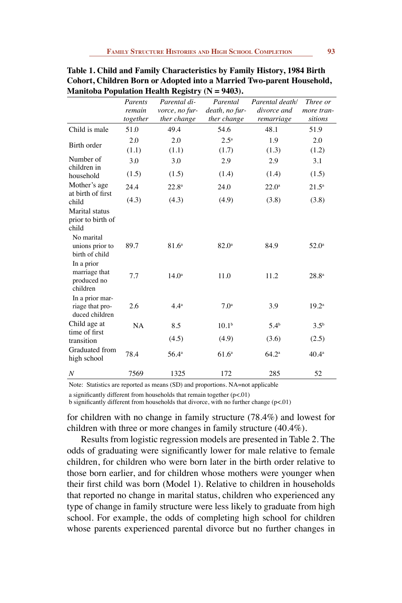|                                                        | Parents<br>remain<br>together | Parental di-<br>vorce, no fur-<br>ther change | Parental<br>death, no fur-<br>ther change | Parental death/<br>divorce and<br>remarriage | Three or<br>more tran-<br>sitions |
|--------------------------------------------------------|-------------------------------|-----------------------------------------------|-------------------------------------------|----------------------------------------------|-----------------------------------|
| Child is male                                          | 51.0                          | 49.4                                          | 54.6                                      | 48.1                                         | 51.9                              |
| Birth order                                            | 2.0                           | 2.0                                           | $2.5^{\circ}$                             | 1.9                                          | 2.0                               |
|                                                        | (1.1)                         | (1.1)                                         | (1.7)                                     | (1.3)                                        | (1.2)                             |
| Number of<br>children in                               | 3.0                           | 3.0                                           | 2.9                                       | 2.9                                          | 3.1                               |
| household                                              | (1.5)                         | (1.5)                                         | (1.4)                                     | (1.4)                                        | (1.5)                             |
| Mother's age<br>at birth of first<br>child             | 24.4                          | $22.8^{\circ}$                                | 24.0                                      | $22.0^{\circ}$                               | $21.5^{\circ}$                    |
|                                                        | (4.3)                         | (4.3)                                         | (4.9)                                     | (3.8)                                        | (3.8)                             |
| Marital status<br>prior to birth of<br>child           |                               |                                               |                                           |                                              |                                   |
| No marital<br>unions prior to<br>birth of child        | 89.7                          | $81.6^{\circ}$                                | $82.0^{\circ}$                            | 84.9                                         | $52.0^{\circ}$                    |
| In a prior<br>marriage that<br>produced no<br>children | 7.7                           | $14.0^{\circ}$                                | 11.0                                      | 11.2                                         | $28.8^{\circ}$                    |
| In a prior mar-<br>riage that pro-<br>duced children   | 2.6                           | 4.4 <sup>a</sup>                              | 7.0 <sup>a</sup>                          | 3.9                                          | $19.2^{\circ}$                    |
| Child age at                                           | NA                            | 8.5                                           | 10.1 <sup>b</sup>                         | $5.4^{b}$                                    | $3.5^{b}$                         |
| time of first<br>transition                            |                               | (4.5)                                         | (4.9)                                     | (3.6)                                        | (2.5)                             |
| Graduated from<br>high school                          | 78.4                          | 56.4 <sup>a</sup>                             | 61.6 <sup>a</sup>                         | $64.2^{\circ}$                               | $40.4^{\circ}$                    |
| N                                                      | 7569                          | 1325                                          | 172                                       | 285                                          | 52                                |

| Table 1. Child and Family Characteristics by Family History, 1984 Birth |
|-------------------------------------------------------------------------|
| Cohort, Children Born or Adopted into a Married Two-parent Household,   |
| Manitoba Population Health Registry (N = 9403).                         |

Note: Statistics are reported as means (SD) and proportions. NA=not applicable

a significantly different from households that remain together (p<.01)

b significantly different from households that divorce, with no further change  $(p<.01)$ 

for children with no change in family structure (78.4%) and lowest for children with three or more changes in family structure (40.4%).

Results from logistic regression models are presented in Table 2. The odds of graduating were significantly lower for male relative to female children, for children who were born later in the birth order relative to those born earlier, and for children whose mothers were younger when their first child was born (Model 1). Relative to children in households that reported no change in marital status, children who experienced any type of change in family structure were less likely to graduate from high school. For example, the odds of completing high school for children whose parents experienced parental divorce but no further changes in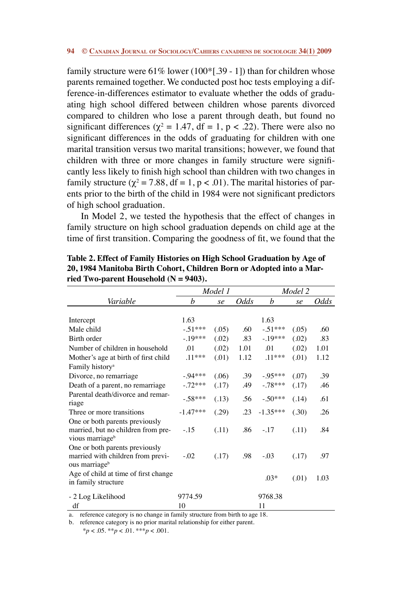family structure were  $61\%$  lower (100\*[.39 - 1]) than for children whose parents remained together. We conducted post hoc tests employing a difference-in-differences estimator to evaluate whether the odds of graduating high school differed between children whose parents divorced compared to children who lose a parent through death, but found no significant differences ( $\chi^2 = 1.47$ , df = 1, p < .22). There were also no significant differences in the odds of graduating for children with one marital transition versus two marital transitions; however, we found that children with three or more changes in family structure were significantly less likely to finish high school than children with two changes in family structure ( $\chi^2$  = 7.88, df = 1, p < .01). The marital histories of parents prior to the birth of the child in 1984 were not significant predictors of high school graduation.

In Model 2, we tested the hypothesis that the effect of changes in family structure on high school graduation depends on child age at the time of first transition. Comparing the goodness of fit, we found that the

|                                                                                                     | Model 1    |       |             | Model 2    |       |      |
|-----------------------------------------------------------------------------------------------------|------------|-------|-------------|------------|-------|------|
| Variable                                                                                            | b          | se    | <b>Odds</b> | h          | se    | Odds |
|                                                                                                     |            |       |             |            |       |      |
| Intercept                                                                                           | 1.63       |       |             | 1.63       |       |      |
| Male child                                                                                          | $-.51***$  | (.05) | .60         | $-.51***$  | (.05) | .60  |
| Birth order                                                                                         | $-.19***$  | (.02) | .83         | $-.19***$  | (.02) | .83  |
| Number of children in household                                                                     | .01        | (.02) | 1.01        | .01        | (.02) | 1.01 |
| Mother's age at birth of first child                                                                | $.11***$   | (.01) | 1.12        | $.11***$   | (.01) | 1.12 |
| Family history <sup>a</sup>                                                                         |            |       |             |            |       |      |
| Divorce, no remarriage                                                                              | $-94***$   | (.06) | .39         | $-0.95***$ | (.07) | .39  |
| Death of a parent, no remarriage                                                                    | $-.72***$  | (.17) | .49         | $-.78***$  | (.17) | .46  |
| Parental death/divorce and remar-<br>riage                                                          | $-58***$   | (.13) | .56         | $-.50***$  | (.14) | .61  |
| Three or more transitions                                                                           | $-1.47***$ | (.29) | .23         | $-1.35***$ | (.30) | .26  |
| One or both parents previously<br>married, but no children from pre-<br>vious marriage <sup>b</sup> | $-.15$     | (.11) | .86         | $-.17$     | (.11) | .84  |
| One or both parents previously<br>married with children from previ-<br>ous marriage <sup>b</sup>    | $-.02$     | (.17) | .98         | $-.03$     | (.17) | .97  |
| Age of child at time of first change<br>in family structure                                         |            |       |             | $.03*$     | (.01) | 1.03 |
| - 2 Log Likelihood                                                                                  | 9774.59    |       |             | 9768.38    |       |      |
| df                                                                                                  | 10         |       |             | 11         |       |      |

**Table 2. Effect of Family Histories on High School Graduation by Age of 20, 1984 Manitoba Birth Cohort, Children Born or Adopted into a Married Two-parent Household (N = 9403).**

a. reference category is no change in family structure from birth to age 18.

b. reference category is no prior marital relationship for either parent.

 $*_{p}$  < .05. \*\**p* < .01. \*\*\**p* < .001.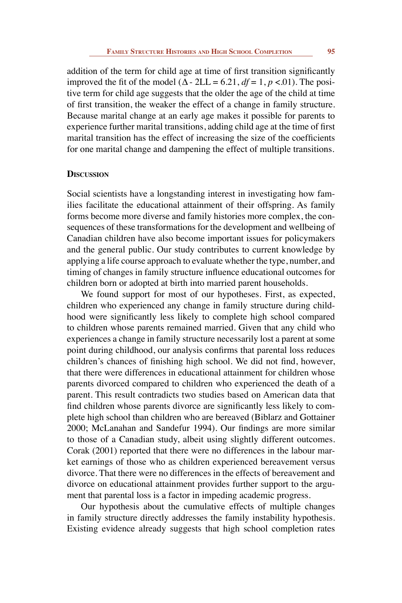addition of the term for child age at time of first transition significantly improved the fit of the model ( $\Delta$ -2LL = 6.21,  $df = 1$ ,  $p < .01$ ). The positive term for child age suggests that the older the age of the child at time of first transition, the weaker the effect of a change in family structure. Because marital change at an early age makes it possible for parents to experience further marital transitions, adding child age at the time of first marital transition has the effect of increasing the size of the coefficients for one marital change and dampening the effect of multiple transitions.

### **Discussion**

Social scientists have a longstanding interest in investigating how families facilitate the educational attainment of their offspring. As family forms become more diverse and family histories more complex, the consequences of these transformations for the development and wellbeing of Canadian children have also become important issues for policymakers and the general public. Our study contributes to current knowledge by applying a life course approach to evaluate whether the type, number, and timing of changes in family structure influence educational outcomes for children born or adopted at birth into married parent households.

We found support for most of our hypotheses. First, as expected, children who experienced any change in family structure during childhood were significantly less likely to complete high school compared to children whose parents remained married. Given that any child who experiences a change in family structure necessarily lost a parent at some point during childhood, our analysis confirms that parental loss reduces children's chances of finishing high school. We did not find, however, that there were differences in educational attainment for children whose parents divorced compared to children who experienced the death of a parent. This result contradicts two studies based on American data that find children whose parents divorce are significantly less likely to complete high school than children who are bereaved (Biblarz and Gottainer 2000; McLanahan and Sandefur 1994). Our findings are more similar to those of a Canadian study, albeit using slightly different outcomes. Corak (2001) reported that there were no differences in the labour market earnings of those who as children experienced bereavement versus divorce. That there were no differences in the effects of bereavement and divorce on educational attainment provides further support to the argument that parental loss is a factor in impeding academic progress.

Our hypothesis about the cumulative effects of multiple changes in family structure directly addresses the family instability hypothesis. Existing evidence already suggests that high school completion rates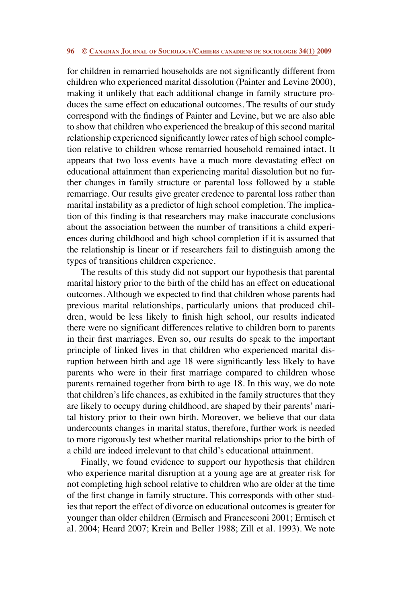for children in remarried households are not significantly different from children who experienced marital dissolution (Painter and Levine 2000), making it unlikely that each additional change in family structure produces the same effect on educational outcomes. The results of our study correspond with the findings of Painter and Levine, but we are also able to show that children who experienced the breakup of this second marital relationship experienced significantly lower rates of high school completion relative to children whose remarried household remained intact. It appears that two loss events have a much more devastating effect on educational attainment than experiencing marital dissolution but no further changes in family structure or parental loss followed by a stable remarriage. Our results give greater credence to parental loss rather than marital instability as a predictor of high school completion. The implication of this finding is that researchers may make inaccurate conclusions about the association between the number of transitions a child experiences during childhood and high school completion if it is assumed that the relationship is linear or if researchers fail to distinguish among the types of transitions children experience.

The results of this study did not support our hypothesis that parental marital history prior to the birth of the child has an effect on educational outcomes. Although we expected to find that children whose parents had previous marital relationships, particularly unions that produced children, would be less likely to finish high school, our results indicated there were no significant differences relative to children born to parents in their first marriages. Even so, our results do speak to the important principle of linked lives in that children who experienced marital disruption between birth and age 18 were significantly less likely to have parents who were in their first marriage compared to children whose parents remained together from birth to age 18. In this way, we do note that children's life chances, as exhibited in the family structures that they are likely to occupy during childhood, are shaped by their parents' marital history prior to their own birth. Moreover, we believe that our data undercounts changes in marital status, therefore, further work is needed to more rigorously test whether marital relationships prior to the birth of a child are indeed irrelevant to that child's educational attainment.

Finally, we found evidence to support our hypothesis that children who experience marital disruption at a young age are at greater risk for not completing high school relative to children who are older at the time of the first change in family structure. This corresponds with other studies that report the effect of divorce on educational outcomes is greater for younger than older children (Ermisch and Francesconi 2001; Ermisch et al. 2004; Heard 2007; Krein and Beller 1988; Zill et al. 1993). We note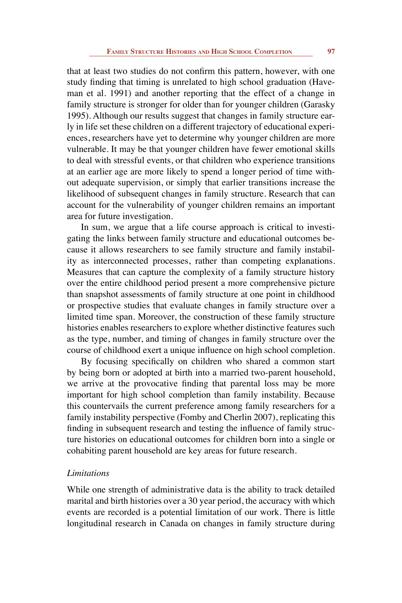that at least two studies do not confirm this pattern, however, with one study finding that timing is unrelated to high school graduation (Haveman et al. 1991) and another reporting that the effect of a change in family structure is stronger for older than for younger children (Garasky 1995). Although our results suggest that changes in family structure early in life set these children on a different trajectory of educational experiences, researchers have yet to determine why younger children are more vulnerable. It may be that younger children have fewer emotional skills to deal with stressful events, or that children who experience transitions at an earlier age are more likely to spend a longer period of time without adequate supervision, or simply that earlier transitions increase the likelihood of subsequent changes in family structure. Research that can account for the vulnerability of younger children remains an important area for future investigation.

In sum, we argue that a life course approach is critical to investigating the links between family structure and educational outcomes because it allows researchers to see family structure and family instability as interconnected processes, rather than competing explanations. Measures that can capture the complexity of a family structure history over the entire childhood period present a more comprehensive picture than snapshot assessments of family structure at one point in childhood or prospective studies that evaluate changes in family structure over a limited time span. Moreover, the construction of these family structure histories enables researchers to explore whether distinctive features such as the type, number, and timing of changes in family structure over the course of childhood exert a unique influence on high school completion.

By focusing specifically on children who shared a common start by being born or adopted at birth into a married two-parent household, we arrive at the provocative finding that parental loss may be more important for high school completion than family instability. Because this countervails the current preference among family researchers for a family instability perspective (Fomby and Cherlin 2007), replicating this finding in subsequent research and testing the influence of family structure histories on educational outcomes for children born into a single or cohabiting parent household are key areas for future research.

## *Limitations*

While one strength of administrative data is the ability to track detailed marital and birth histories over a 30 year period, the accuracy with which events are recorded is a potential limitation of our work. There is little longitudinal research in Canada on changes in family structure during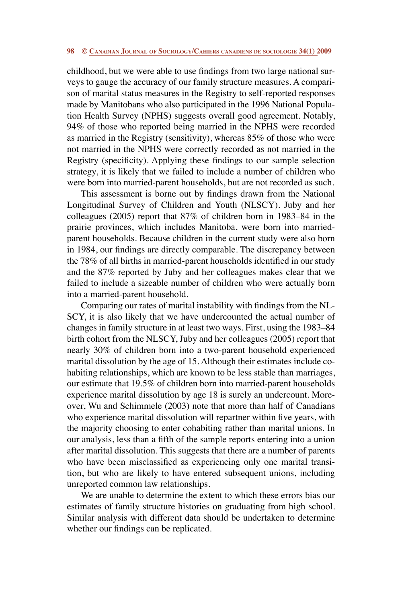childhood, but we were able to use findings from two large national surveys to gauge the accuracy of our family structure measures. A comparison of marital status measures in the Registry to self-reported responses made by Manitobans who also participated in the 1996 National Population Health Survey (NPHS) suggests overall good agreement. Notably, 94% of those who reported being married in the NPHS were recorded as married in the Registry (sensitivity), whereas 85% of those who were not married in the NPHS were correctly recorded as not married in the Registry (specificity). Applying these findings to our sample selection strategy, it is likely that we failed to include a number of children who were born into married-parent households, but are not recorded as such.

This assessment is borne out by findings drawn from the National Longitudinal Survey of Children and Youth (NLSCY). Juby and her colleagues (2005) report that 87% of children born in 1983–84 in the prairie provinces, which includes Manitoba, were born into marriedparent households. Because children in the current study were also born in 1984, our findings are directly comparable. The discrepancy between the 78% of all births in married-parent households identified in our study and the 87% reported by Juby and her colleagues makes clear that we failed to include a sizeable number of children who were actually born into a married-parent household.

Comparing our rates of marital instability with findings from the NL-SCY, it is also likely that we have undercounted the actual number of changes in family structure in at least two ways. First, using the 1983–84 birth cohort from the NLSCY, Juby and her colleagues (2005) report that nearly 30% of children born into a two-parent household experienced marital dissolution by the age of 15. Although their estimates include cohabiting relationships, which are known to be less stable than marriages, our estimate that 19.5% of children born into married-parent households experience marital dissolution by age 18 is surely an undercount. Moreover, Wu and Schimmele (2003) note that more than half of Canadians who experience marital dissolution will repartner within five years, with the majority choosing to enter cohabiting rather than marital unions. In our analysis, less than a fifth of the sample reports entering into a union after marital dissolution. This suggests that there are a number of parents who have been misclassified as experiencing only one marital transition, but who are likely to have entered subsequent unions, including unreported common law relationships.

We are unable to determine the extent to which these errors bias our estimates of family structure histories on graduating from high school. Similar analysis with different data should be undertaken to determine whether our findings can be replicated.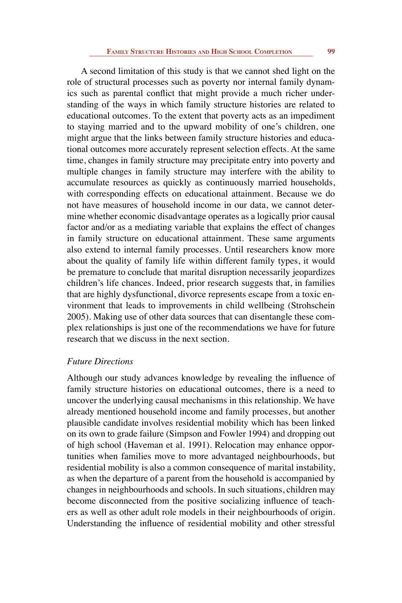A second limitation of this study is that we cannot shed light on the role of structural processes such as poverty nor internal family dynamics such as parental conflict that might provide a much richer understanding of the ways in which family structure histories are related to educational outcomes. To the extent that poverty acts as an impediment to staying married and to the upward mobility of one's children, one might argue that the links between family structure histories and educational outcomes more accurately represent selection effects. At the same time, changes in family structure may precipitate entry into poverty and multiple changes in family structure may interfere with the ability to accumulate resources as quickly as continuously married households, with corresponding effects on educational attainment. Because we do not have measures of household income in our data, we cannot determine whether economic disadvantage operates as a logically prior causal factor and/or as a mediating variable that explains the effect of changes in family structure on educational attainment. These same arguments also extend to internal family processes. Until researchers know more about the quality of family life within different family types, it would be premature to conclude that marital disruption necessarily jeopardizes children's life chances. Indeed, prior research suggests that, in families that are highly dysfunctional, divorce represents escape from a toxic environment that leads to improvements in child wellbeing (Strohschein 2005). Making use of other data sources that can disentangle these complex relationships is just one of the recommendations we have for future research that we discuss in the next section.

#### *Future Directions*

Although our study advances knowledge by revealing the influence of family structure histories on educational outcomes, there is a need to uncover the underlying causal mechanisms in this relationship. We have already mentioned household income and family processes, but another plausible candidate involves residential mobility which has been linked on its own to grade failure (Simpson and Fowler 1994) and dropping out of high school (Haveman et al. 1991). Relocation may enhance opportunities when families move to more advantaged neighbourhoods, but residential mobility is also a common consequence of marital instability, as when the departure of a parent from the household is accompanied by changes in neighbourhoods and schools. In such situations, children may become disconnected from the positive socializing influence of teachers as well as other adult role models in their neighbourhoods of origin. Understanding the influence of residential mobility and other stressful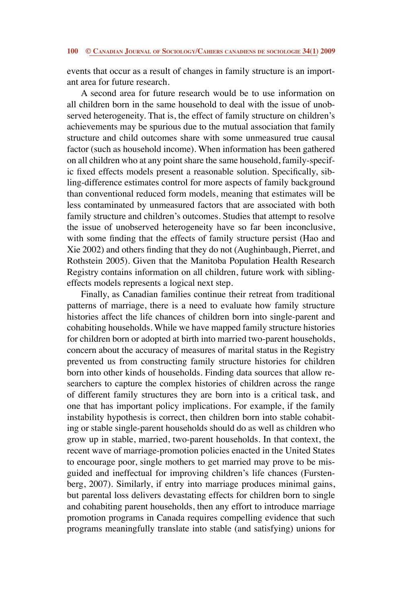events that occur as a result of changes in family structure is an important area for future research.

A second area for future research would be to use information on all children born in the same household to deal with the issue of unobserved heterogeneity. That is, the effect of family structure on children's achievements may be spurious due to the mutual association that family structure and child outcomes share with some unmeasured true causal factor (such as household income). When information has been gathered on all children who at any point share the same household, family-specific fixed effects models present a reasonable solution. Specifically, sibling-difference estimates control for more aspects of family background than conventional reduced form models, meaning that estimates will be less contaminated by unmeasured factors that are associated with both family structure and children's outcomes. Studies that attempt to resolve the issue of unobserved heterogeneity have so far been inconclusive, with some finding that the effects of family structure persist (Hao and Xie 2002) and others finding that they do not (Aughinbaugh, Pierret, and Rothstein 2005). Given that the Manitoba Population Health Research Registry contains information on all children, future work with siblingeffects models represents a logical next step.

Finally, as Canadian families continue their retreat from traditional patterns of marriage, there is a need to evaluate how family structure histories affect the life chances of children born into single-parent and cohabiting households. While we have mapped family structure histories for children born or adopted at birth into married two-parent households, concern about the accuracy of measures of marital status in the Registry prevented us from constructing family structure histories for children born into other kinds of households. Finding data sources that allow researchers to capture the complex histories of children across the range of different family structures they are born into is a critical task, and one that has important policy implications. For example, if the family instability hypothesis is correct, then children born into stable cohabiting or stable single-parent households should do as well as children who grow up in stable, married, two-parent households. In that context, the recent wave of marriage-promotion policies enacted in the United States to encourage poor, single mothers to get married may prove to be misguided and ineffectual for improving children's life chances (Furstenberg, 2007). Similarly, if entry into marriage produces minimal gains, but parental loss delivers devastating effects for children born to single and cohabiting parent households, then any effort to introduce marriage promotion programs in Canada requires compelling evidence that such programs meaningfully translate into stable (and satisfying) unions for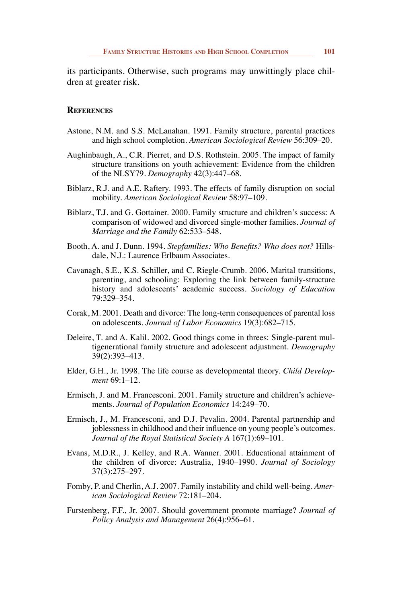its participants. Otherwise, such programs may unwittingly place children at greater risk.

# **References**

- Astone, N.M. and S.S. McLanahan. 1991. Family structure, parental practices and high school completion. *American Sociological Review* 56:309–20.
- Aughinbaugh, A., C.R. Pierret, and D.S. Rothstein. 2005. The impact of family structure transitions on youth achievement: Evidence from the children of the NLSY79. *Demography* 42(3):447–68.
- Biblarz, R.J. and A.E. Raftery. 1993. The effects of family disruption on social mobility. *American Sociological Review* 58:97–109.
- Biblarz, T.J. and G. Gottainer. 2000. Family structure and children's success: A comparison of widowed and divorced single-mother families. *Journal of Marriage and the Family* 62:533–548.
- Booth, A. and J. Dunn. 1994. *Stepfamilies: Who Benefits? Who does not?* Hillsdale, N.J.: Laurence Erlbaum Associates.
- Cavanagh, S.E., K.S. Schiller, and C. Riegle-Crumb. 2006. Marital transitions, parenting, and schooling: Exploring the link between family-structure history and adolescents' academic success. *Sociology of Education* 79:329–354.
- Corak, M. 2001. Death and divorce: The long-term consequences of parental loss on adolescents. *Journal of Labor Economics* 19(3):682–715.
- Deleire, T. and A. Kalil. 2002. Good things come in threes: Single-parent multigenerational family structure and adolescent adjustment. *Demography* 39(2):393–413.
- Elder, G.H., Jr. 1998. The life course as developmental theory. *Child Development* 69:1–12.
- Ermisch, J. and M. Francesconi. 2001. Family structure and children's achievements. *Journal of Population Economics* 14:249–70.
- Ermisch, J., M. Francesconi, and D.J. Pevalin. 2004. Parental partnership and joblessness in childhood and their influence on young people's outcomes. *Journal of the Royal Statistical Society A* 167(1):69–101.
- Evans, M.D.R., J. Kelley, and R.A. Wanner. 2001. Educational attainment of the children of divorce: Australia, 1940–1990. *Journal of Sociology* 37(3):275–297.
- Fomby, P. and Cherlin, A.J. 2007. Family instability and child well-being. *American Sociological Review* 72:181–204.
- Furstenberg, F.F., Jr. 2007. Should government promote marriage? *Journal of Policy Analysis and Management* 26(4):956–61.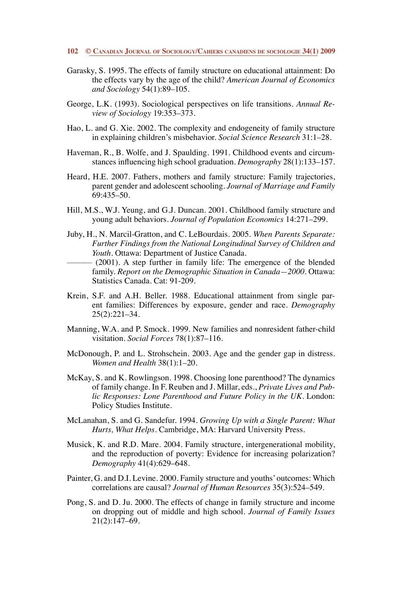- Garasky, S. 1995. The effects of family structure on educational attainment: Do the effects vary by the age of the child? *American Journal of Economics and Sociology* 54(1):89–105.
- George, L.K. (1993). Sociological perspectives on life transitions. *Annual Review of Sociology* 19:353–373.
- Hao, L. and G. Xie. 2002. The complexity and endogeneity of family structure in explaining children's misbehavior. *Social Science Research* 31:1–28.
- Haveman, R., B. Wolfe, and J. Spaulding. 1991. Childhood events and circumstances influencing high school graduation. *Demography* 28(1):133–157.
- Heard, H.E. 2007. Fathers, mothers and family structure: Family trajectories, parent gender and adolescent schooling. *Journal of Marriage and Family* 69:435–50.
- Hill, M.S., W.J. Yeung, and G.J. Duncan. 2001. Childhood family structure and young adult behaviors. *Journal of Population Economics* 14:271–299.
- Juby, H., N. Marcil-Gratton, and C. LeBourdais. 2005. *When Parents Separate: Further Findings from the National Longitudinal Survey of Children and Youth*. Ottawa: Department of Justice Canada.
	- ——— (2001). A step further in family life: The emergence of the blended family. *Report on the Demographic Situation in Canada—2000*. Ottawa: Statistics Canada. Cat: 91-209.
- Krein, S.F. and A.H. Beller. 1988. Educational attainment from single parent families: Differences by exposure, gender and race. *Demography* 25(2):221–34.
- Manning, W.A. and P. Smock. 1999. New families and nonresident father-child visitation. *Social Forces* 78(1):87–116.
- McDonough, P. and L. Strohschein. 2003. Age and the gender gap in distress. *Women and Health* 38(1):1–20.
- McKay, S. and K. Rowlingson. 1998. Choosing lone parenthood? The dynamics of family change. In F. Reuben and J. Millar, eds., *Private Lives and Public Responses: Lone Parenthood and Future Policy in the UK*. London: Policy Studies Institute.
- McLanahan, S. and G. Sandefur. 1994. *Growing Up with a Single Parent: What Hurts, What Helps*. Cambridge, MA: Harvard University Press.
- Musick, K. and R.D. Mare. 2004. Family structure, intergenerational mobility, and the reproduction of poverty: Evidence for increasing polarization? *Demography* 41(4):629–648.
- Painter, G. and D.I. Levine. 2000. Family structure and youths' outcomes: Which correlations are causal? *Journal of Human Resources* 35(3):524–549.
- Pong, S. and D. Ju. 2000. The effects of change in family structure and income on dropping out of middle and high school. *Journal of Family Issues* 21(2):147–69.